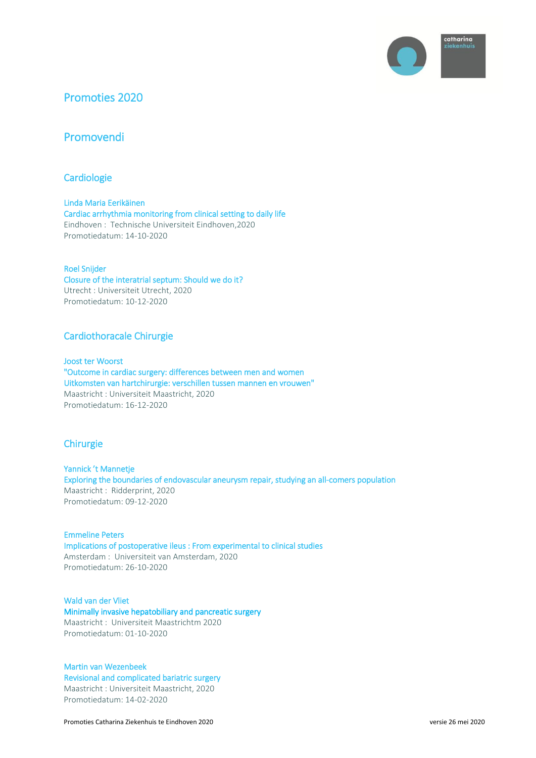

# Promoties 2020

# Promovendi

# **Cardiologie**

Linda Maria Eerikäinen Cardiac arrhythmia monitoring from clinical setting to daily life Eindhoven : Technische Universiteit Eindhoven,2020 Promotiedatum: 14-10-2020

### Roel Snijder

Closure of the interatrial septum: Should we do it? Utrecht : Universiteit Utrecht, 2020 Promotiedatum: 10-12-2020

# Cardiothoracale Chirurgie

Joost ter Woorst "Outcome in cardiac surgery: differences between men and women Uitkomsten van hartchirurgie: verschillen tussen mannen en vrouwen" Maastricht : Universiteit Maastricht, 2020 Promotiedatum: 16-12-2020

# **Chirurgie**

Yannick 't Mannetje Exploring the boundaries of endovascular aneurysm repair, studying an all-comers population Maastricht : Ridderprint, 2020 Promotiedatum: 09-12-2020

Emmeline Peters Implications of postoperative ileus : From experimental to clinical studies Amsterdam : Universiteit van Amsterdam, 2020 Promotiedatum: 26-10-2020

# Wald van der Vliet Minimally invasive hepatobiliary and pancreatic surgery Maastricht : Universiteit Maastrichtm 2020 Promotiedatum: 01-10-2020

# Martin van Wezenbeek

Revisional and complicated bariatric surgery Maastricht : Universiteit Maastricht, 2020 Promotiedatum: 14-02-2020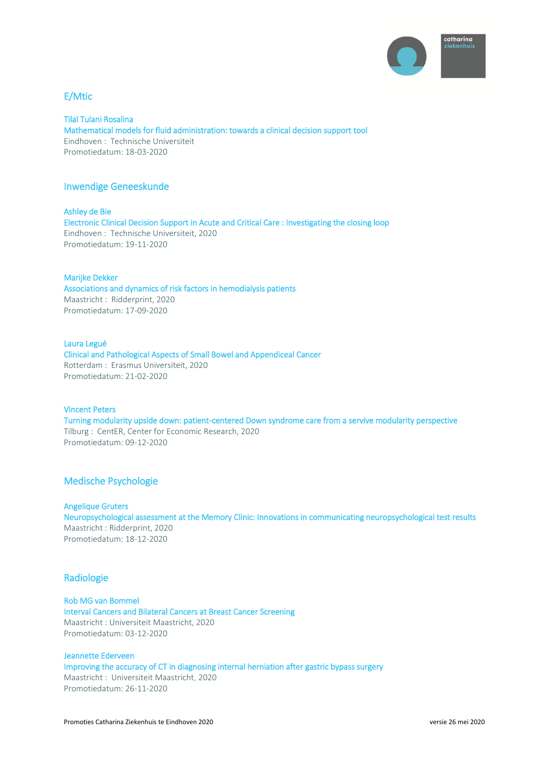

# E/Mtic

Tilaï Tulani Rosalina Mathematical models for fluid administration: towards a clinical decision support tool Eindhoven : Technische Universiteit Promotiedatum: 18-03-2020

### Inwendige Geneeskunde

Ashley de Bie Electronic Clinical Decision Support in Acute and Critical Care : Investigating the closing loop Eindhoven : Technische Universiteit, 2020 Promotiedatum: 19-11-2020

#### Marijke Dekker

Associations and dynamics of risk factors in hemodialysis patients Maastricht : Ridderprint, 2020 Promotiedatum: 17-09-2020

#### Laura Legué

Clinical and Pathological Aspects of Small Bowel and Appendiceal Cancer Rotterdam : Erasmus Universiteit, 2020 Promotiedatum: 21-02-2020

### Vincent Peters

Turning modularity upside down: patient-centered Down syndrome care from a servive modularity perspective Tilburg : CentER, Center for Economic Research, 2020 Promotiedatum: 09-12-2020

# Medische Psychologie

### Angelique Gruters

Neuropsychological assessment at the Memory Clinic: Innovations in communicating neuropsychological test results Maastricht : Ridderprint, 2020 Promotiedatum: 18-12-2020

### Radiologie

Rob MG van Bommel Interval Cancers and Bilateral Cancers at Breast Cancer Screening Maastricht : Universiteit Maastricht, 2020 Promotiedatum: 03-12-2020

Jeannette Ederveen Improving the accuracy of CT in diagnosing internal herniation after gastric bypass surgery Maastricht : Universiteit Maastricht, 2020 Promotiedatum: 26-11-2020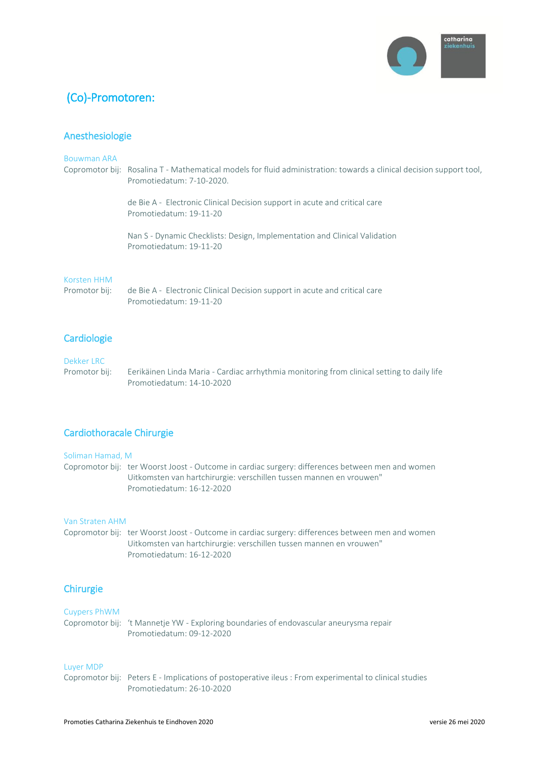

# (Co)-Promotoren:

# Anesthesiologie

### Bouwman ARA

Copromotor bij: Rosalina T - Mathematical models for fluid administration: towards a clinical decision support tool, Promotiedatum: 7-10-2020.

> de Bie A - Electronic Clinical Decision support in acute and critical care Promotiedatum: 19-11-20

Nan S - Dynamic Checklists: Design, Implementation and Clinical Validation Promotiedatum: 19-11-20

### Korsten HHM

Promotor bij: de Bie A - Electronic Clinical Decision support in acute and critical care Promotiedatum: 19-11-20

# **Cardiologie**

### Dekker LRC

Promotor bij: Eerikäinen Linda Maria - Cardiac arrhythmia monitoring from clinical setting to daily life Promotiedatum: 14-10-2020

# Cardiothoracale Chirurgie

#### Soliman Hamad, M

Copromotor bij: ter Woorst Joost - Outcome in cardiac surgery: differences between men and women Uitkomsten van hartchirurgie: verschillen tussen mannen en vrouwen" Promotiedatum: 16-12-2020

### Van Straten AHM

Copromotor bij: ter Woorst Joost - Outcome in cardiac surgery: differences between men and women Uitkomsten van hartchirurgie: verschillen tussen mannen en vrouwen" Promotiedatum: 16-12-2020

# **Chirurgie**

Cuypers PhWM Copromotor bij: 't Mannetje YW - Exploring boundaries of endovascular aneurysma repair Promotiedatum: 09-12-2020

#### Luyer MDP

Copromotor bij: Peters E - Implications of postoperative ileus : From experimental to clinical studies Promotiedatum: 26-10-2020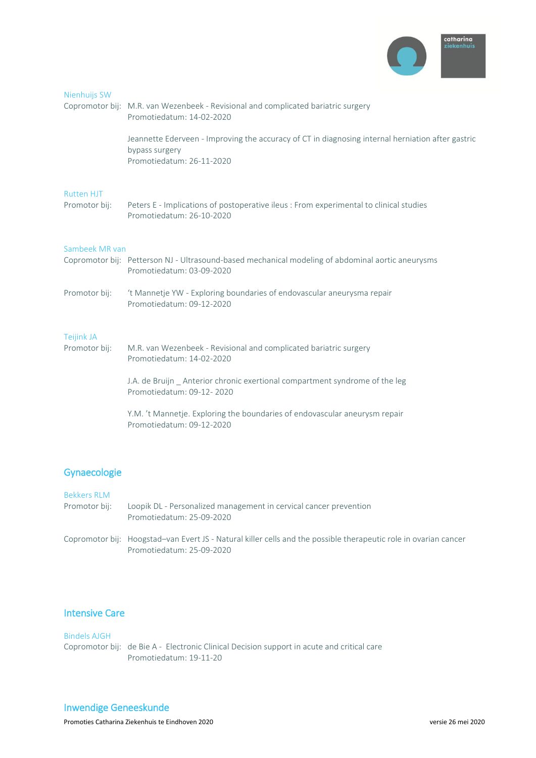

| Nienhuijs SW                       | Copromotor bij: M.R. van Wezenbeek - Revisional and complicated bariatric surgery<br>Promotiedatum: 14-02-2020                                   |
|------------------------------------|--------------------------------------------------------------------------------------------------------------------------------------------------|
|                                    | Jeannette Ederveen - Improving the accuracy of CT in diagnosing internal herniation after gastric<br>bypass surgery<br>Promotiedatum: 26-11-2020 |
| <b>Rutten HJT</b><br>Promotor bij: | Peters E - Implications of postoperative ileus : From experimental to clinical studies<br>Promotiedatum: 26-10-2020                              |
| Sambeek MR van                     | Copromotor bij: Petterson NJ - Ultrasound-based mechanical modeling of abdominal aortic aneurysms<br>Promotiedatum: 03-09-2020                   |
| Promotor bij:                      | 't Mannetje YW - Exploring boundaries of endovascular aneurysma repair<br>Promotiedatum: 09-12-2020                                              |
| <b>Teijink JA</b><br>Promotor bij: | M.R. van Wezenbeek - Revisional and complicated bariatric surgery<br>Promotiedatum: 14-02-2020                                                   |
|                                    | J.A. de Bruijn Anterior chronic exertional compartment syndrome of the leg<br>Promotiedatum: 09-12-2020                                          |
|                                    | Y.M. 't Mannetje. Exploring the boundaries of endovascular aneurysm repair<br>Promotiedatum: 09-12-2020                                          |

# Gynaecologie

### Bekkers RLM

- Promotor bij: Loopik DL Personalized management in cervical cancer prevention Promotiedatum: 25-09-2020
- Copromotor bij: Hoogstad–van Evert JS Natural killer cells and the possible therapeutic role in ovarian cancer Promotiedatum: 25-09-2020

# Intensive Care

### Bindels AJGH Copromotor bij: de Bie A - Electronic Clinical Decision support in acute and critical care Promotiedatum: 19-11-20